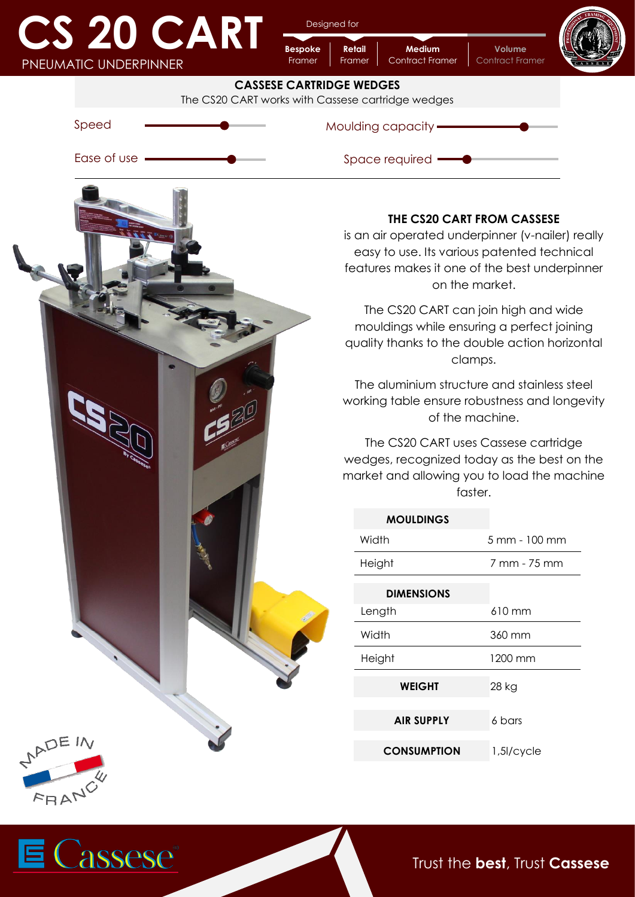## **CS 20 CART** PNEUMATIC UNDERPINNER

Cassese®

Designed for

**Retail**

**Bespoke**

**Medium** Contract Framer **Volume** Contract Framer